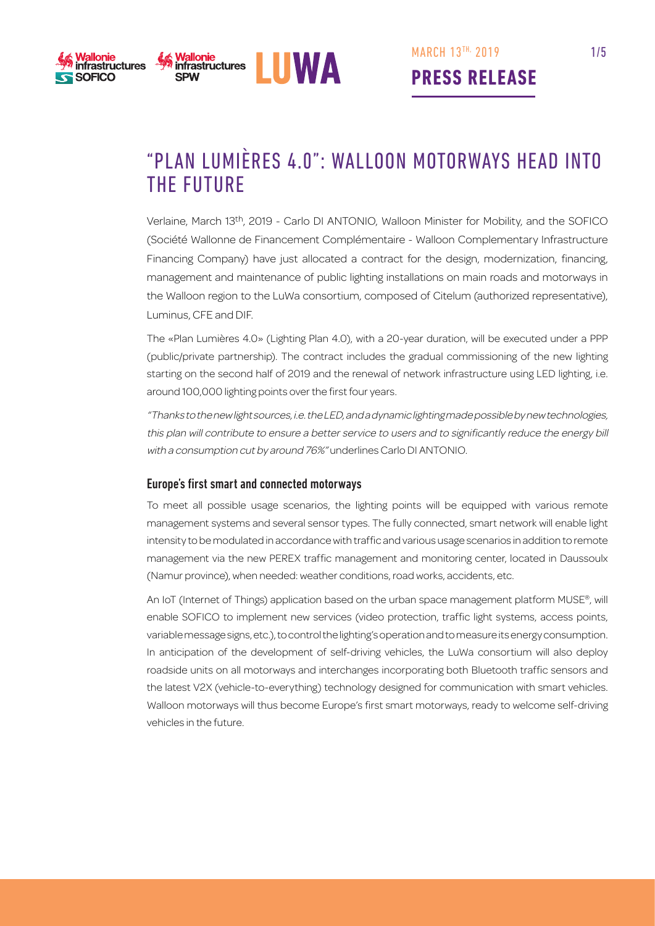



"Plan Lumières 4.0": Walloon motorways head into the future

Verlaine, March 13th, 2019 - Carlo DI ANTONIO, Walloon Minister for Mobility, and the SOFICO (Société Wallonne de Financement Complémentaire - Walloon Complementary Infrastructure Financing Company) have just allocated a contract for the design, modernization, financing, management and maintenance of public lighting installations on main roads and motorways in the Walloon region to the LuWa consortium, composed of Citelum (authorized representative), Luminus, CFE and DIF.

The «Plan Lumières 4.0» (Lighting Plan 4.0), with a 20-year duration, will be executed under a PPP (public/private partnership). The contract includes the gradual commissioning of the new lighting starting on the second half of 2019 and the renewal of network infrastructure using LED lighting, i.e. around 100,000 lighting points over the first four years.

"Thanks to the new light sources, i.e. the LED, and a dynamic lighting made possible by new technologies, this plan will contribute to ensure a better service to users and to significantly reduce the energy bill with a consumption cut by around 76%" underlines Carlo DI ANTONIO.

#### Europe's first smart and connected motorways

To meet all possible usage scenarios, the lighting points will be equipped with various remote management systems and several sensor types. The fully connected, smart network will enable light intensity to be modulated in accordance with traffic and various usage scenarios in addition to remote management via the new PEREX traffic management and monitoring center, located in Daussoulx (Namur province), when needed: weather conditions, road works, accidents, etc.

An IoT (Internet of Things) application based on the urban space management platform MUSE®, will enable SOFICO to implement new services (video protection, traffic light systems, access points, variable message signs, etc.), to control the lighting's operation and to measure its energy consumption. In anticipation of the development of self-driving vehicles, the LuWa consortium will also deploy roadside units on all motorways and interchanges incorporating both Bluetooth traffic sensors and the latest V2X (vehicle-to-everything) technology designed for communication with smart vehicles. Walloon motorways will thus become Europe's first smart motorways, ready to welcome self-driving vehicles in the future.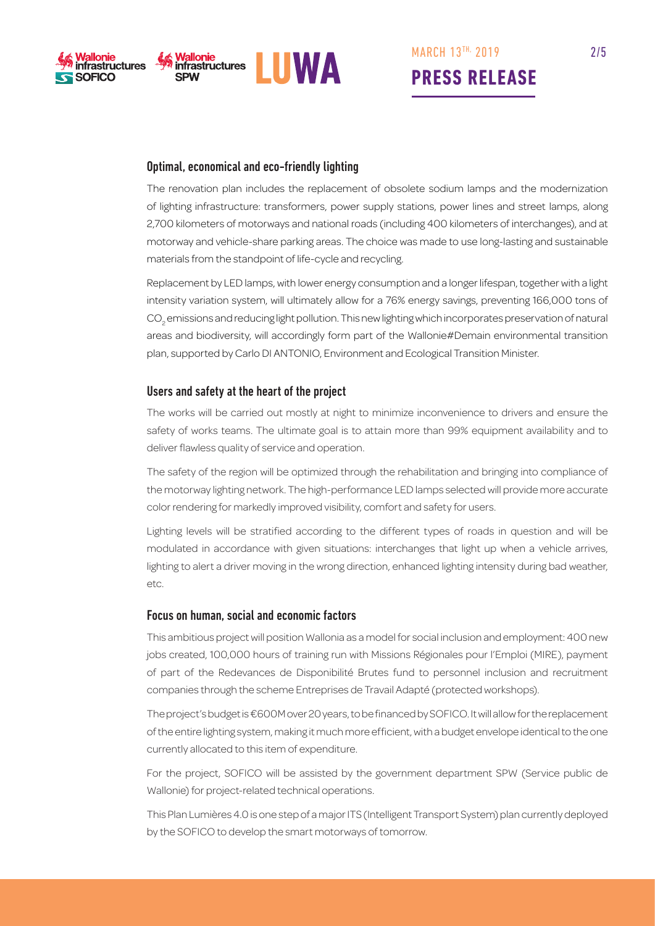



## Optimal, economical and eco-friendly lighting

The renovation plan includes the replacement of obsolete sodium lamps and the modernization of lighting infrastructure: transformers, power supply stations, power lines and street lamps, along 2,700 kilometers of motorways and national roads (including 400 kilometers of interchanges), and at motorway and vehicle-share parking areas. The choice was made to use long-lasting and sustainable materials from the standpoint of life-cycle and recycling.

Replacement by LED lamps, with lower energy consumption and a longer lifespan, together with a light intensity variation system, will ultimately allow for a 76% energy savings, preventing 166,000 tons of  $\mathrm{CO}_2$  emissions and reducing light pollution. This new lighting which incorporates preservation of natural areas and biodiversity, will accordingly form part of the Wallonie#Demain environmental transition plan, supported by Carlo DI ANTONIO, Environment and Ecological Transition Minister.

#### Users and safety at the heart of the project

The works will be carried out mostly at night to minimize inconvenience to drivers and ensure the safety of works teams. The ultimate goal is to attain more than 99% equipment availability and to deliver flawless quality of service and operation.

The safety of the region will be optimized through the rehabilitation and bringing into compliance of the motorway lighting network. The high-performance LED lamps selected will provide more accurate color rendering for markedly improved visibility, comfort and safety for users.

Lighting levels will be stratified according to the different types of roads in question and will be modulated in accordance with given situations: interchanges that light up when a vehicle arrives, lighting to alert a driver moving in the wrong direction, enhanced lighting intensity during bad weather, etc.

#### Focus on human, social and economic factors

This ambitious project will position Wallonia as a model for social inclusion and employment: 400 new jobs created, 100,000 hours of training run with Missions Régionales pour l'Emploi (MIRE), payment of part of the Redevances de Disponibilité Brutes fund to personnel inclusion and recruitment companies through the scheme Entreprises de Travail Adapté (protected workshops).

The project's budget is €600M over 20 years, to be financed by SOFICO. It will allow for the replacement of the entire lighting system, making it much more efficient, with a budget envelope identical to the one currently allocated to this item of expenditure.

For the project, SOFICO will be assisted by the government department SPW (Service public de Wallonie) for project-related technical operations.

This Plan Lumières 4.0 is one step of a major ITS (Intelligent Transport System) plan currently deployed by the SOFICO to develop the smart motorways of tomorrow.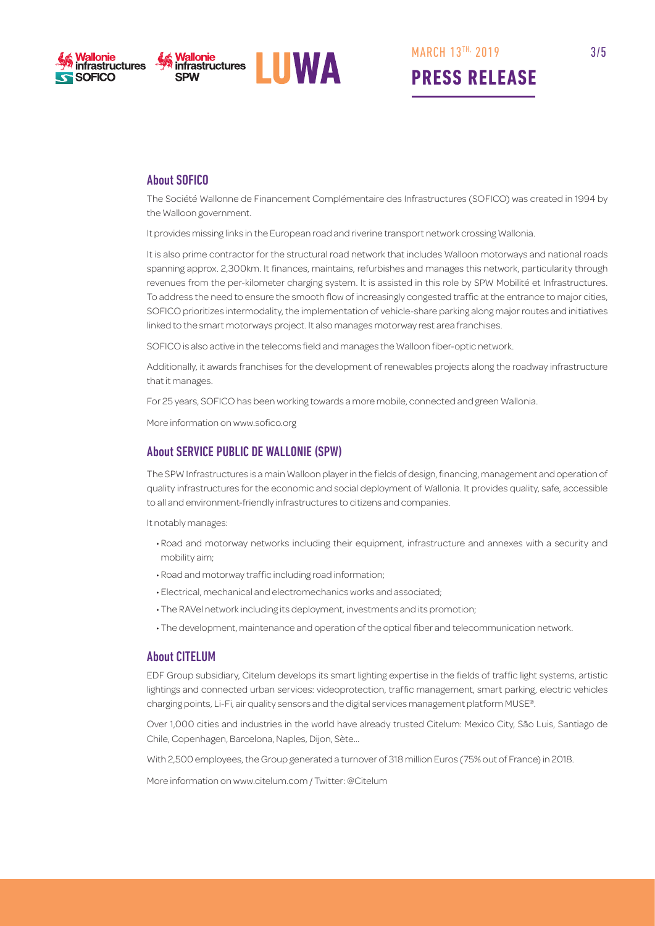



**PRESS RELEASE**

## About SOFICO

The Société Wallonne de Financement Complémentaire des Infrastructures (SOFICO) was created in 1994 by the Walloon government.

It provides missing links in the European road and riverine transport network crossing Wallonia.

It is also prime contractor for the structural road network that includes Walloon motorways and national roads spanning approx. 2,300km. It finances, maintains, refurbishes and manages this network, particularity through revenues from the per-kilometer charging system. It is assisted in this role by SPW Mobilité et Infrastructures. To address the need to ensure the smooth flow of increasingly congested traffic at the entrance to major cities, SOFICO prioritizes intermodality, the implementation of vehicle-share parking along major routes and initiatives linked to the smart motorways project. It also manages motorway rest area franchises.

SOFICO is also active in the telecoms field and manages the Walloon fiber-optic network.

Additionally, it awards franchises for the development of renewables projects along the roadway infrastructure that it manages.

For 25 years, SOFICO has been working towards a more mobile, connected and green Wallonia.

More information on www.sofico.org

#### About SERVICE PUBLIC DE WALLONIE (SPW)

The SPW Infrastructures is a main Walloon player in the fields of design, financing, management and operation of quality infrastructures for the economic and social deployment of Wallonia. It provides quality, safe, accessible to all and environment-friendly infrastructures to citizens and companies.

It notably manages:

- Road and motorway networks including their equipment, infrastructure and annexes with a security and mobility aim;
- Road and motorway traffic including road information;
- Electrical, mechanical and electromechanics works and associated;
- The RAVel network including its deployment, investments and its promotion;
- The development, maintenance and operation of the optical fiber and telecommunication network.

#### About CITELUM

EDF Group subsidiary, Citelum develops its smart lighting expertise in the fields of traffic light systems, artistic lightings and connected urban services: videoprotection, traffic management, smart parking, electric vehicles charging points, Li-Fi, air quality sensors and the digital services management platform MUSE®.

Over 1,000 cities and industries in the world have already trusted Citelum: Mexico City, São Luis, Santiago de Chile, Copenhagen, Barcelona, Naples, Dijon, Sète…

With 2,500 employees, the Group generated a turnover of 318 million Euros (75% out of France) in 2018.

More information on www.citelum.com / Twitter: @Citelum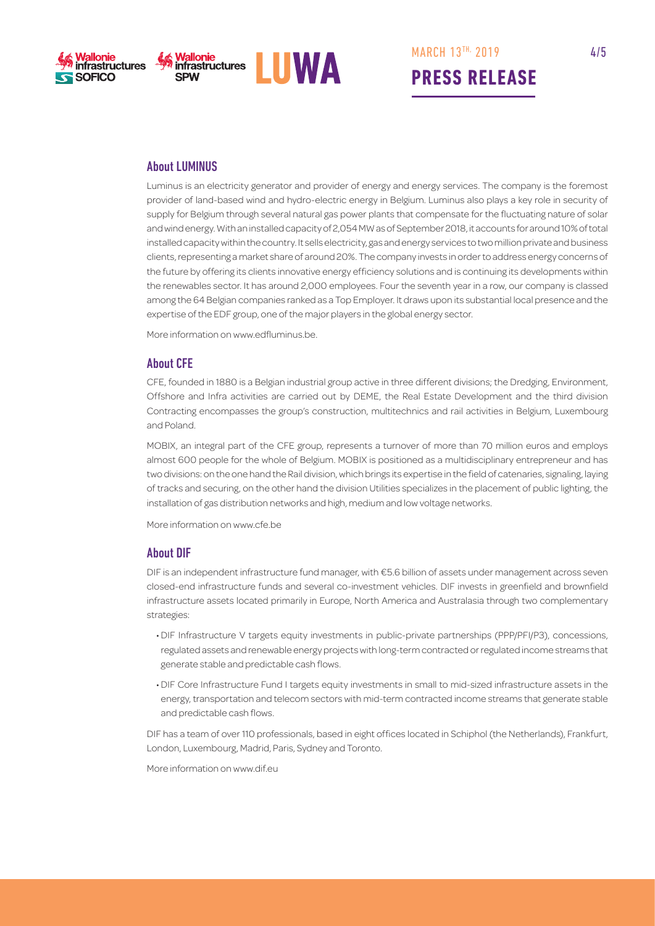





### About LUMINUS

Luminus is an electricity generator and provider of energy and energy services. The company is the foremost provider of land-based wind and hydro-electric energy in Belgium. Luminus also plays a key role in security of supply for Belgium through several natural gas power plants that compensate for the fluctuating nature of solar and wind energy. With an installed capacity of 2,054 MW as of September 2018, it accounts for around 10% of total installed capacity within the country. It sells electricity, gas and energy services to two million private and business clients, representing a market share of around 20%. The company invests in order to address energy concerns of the future by offering its clients innovative energy efficiency solutions and is continuing its developments within the renewables sector. It has around 2,000 employees. Four the seventh year in a row, our company is classed among the 64 Belgian companies ranked as a Top Employer. It draws upon its substantial local presence and the expertise of the EDF group, one of the major players in the global energy sector.

More information on www.edfluminus.be.

#### About CFE

CFE, founded in 1880 is a Belgian industrial group active in three different divisions; the Dredging, Environment, Offshore and Infra activities are carried out by DEME, the Real Estate Development and the third division Contracting encompasses the group's construction, multitechnics and rail activities in Belgium, Luxembourg and Poland.

MOBIX, an integral part of the CFE group, represents a turnover of more than 70 million euros and employs almost 600 people for the whole of Belgium. MOBIX is positioned as a multidisciplinary entrepreneur and has two divisions: on the one hand the Rail division, which brings its expertise in the field of catenaries, signaling, laying of tracks and securing, on the other hand the division Utilities specializes in the placement of public lighting, the installation of gas distribution networks and high, medium and low voltage networks.

More information on www.cfe.be

#### About DIF

DIF is an independent infrastructure fund manager, with €5.6 billion of assets under management across seven closed-end infrastructure funds and several co-investment vehicles. DIF invests in greenfield and brownfield infrastructure assets located primarily in Europe, North America and Australasia through two complementary strategies:

- DIF Infrastructure V targets equity investments in public-private partnerships (PPP/PFI/P3), concessions, regulated assets and renewable energy projects with long-term contracted or regulated income streams that generate stable and predictable cash flows.
- DIF Core Infrastructure Fund I targets equity investments in small to mid-sized infrastructure assets in the energy, transportation and telecom sectors with mid-term contracted income streams that generate stable and predictable cash flows.

DIF has a team of over 110 professionals, based in eight offices located in Schiphol (the Netherlands), Frankfurt, London, Luxembourg, Madrid, Paris, Sydney and Toronto.

More information on www.dif.eu